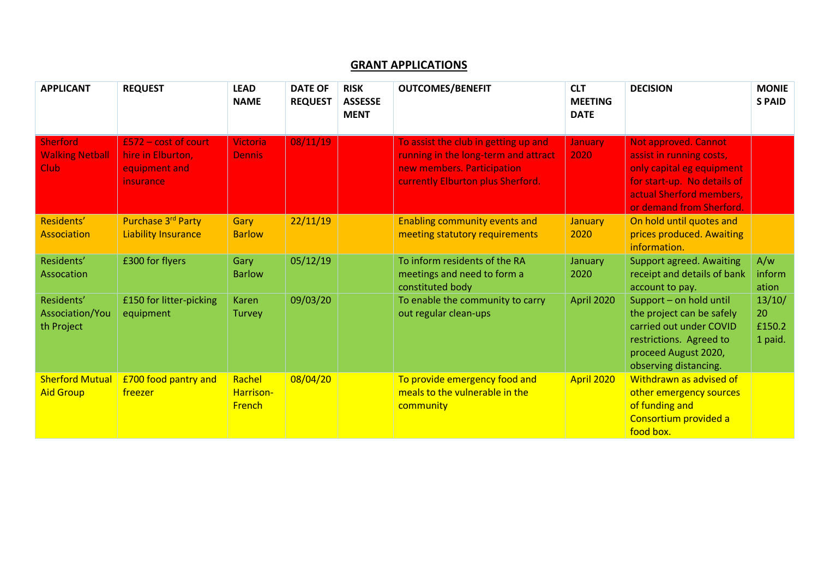## **GRANT APPLICATIONS**

| <b>APPLICANT</b>                                         | <b>REQUEST</b>                                                            | <b>LEAD</b><br><b>NAME</b>           | <b>DATE OF</b><br><b>REQUEST</b> | <b>RISK</b><br><b>ASSESSE</b><br><b>MENT</b> | <b>OUTCOMES/BENEFIT</b>                                                                                                                         | <b>CLT</b><br><b>MEETING</b><br><b>DATE</b> | <b>DECISION</b>                                                                                                                                                             | <b>MONIE</b><br><b>SPAID</b>      |
|----------------------------------------------------------|---------------------------------------------------------------------------|--------------------------------------|----------------------------------|----------------------------------------------|-------------------------------------------------------------------------------------------------------------------------------------------------|---------------------------------------------|-----------------------------------------------------------------------------------------------------------------------------------------------------------------------------|-----------------------------------|
| <b>Sherford</b><br><b>Walking Netball</b><br><b>Club</b> | $£572 - cost of court$<br>hire in Elburton,<br>equipment and<br>insurance | <b>Victoria</b><br><b>Dennis</b>     | 08/11/19                         |                                              | To assist the club in getting up and<br>running in the long-term and attract<br>new members. Participation<br>currently Elburton plus Sherford. | <b>January</b><br>2020                      | <b>Not approved. Cannot</b><br>assist in running costs,<br>only capital eg equipment<br>for start-up. No details of<br>actual Sherford members,<br>or demand from Sherford. |                                   |
| Residents'<br><b>Association</b>                         | Purchase 3rd Party<br><b>Liability Insurance</b>                          | Gary<br><b>Barlow</b>                | 22/11/19                         |                                              | <b>Enabling community events and</b><br>meeting statutory requirements                                                                          | <b>January</b><br>2020                      | On hold until quotes and<br>prices produced. Awaiting<br>information.                                                                                                       |                                   |
| Residents'<br>Assocation                                 | £300 for flyers                                                           | Gary<br><b>Barlow</b>                | 05/12/19                         |                                              | To inform residents of the RA<br>meetings and need to form a<br>constituted body                                                                | January<br>2020                             | <b>Support agreed. Awaiting</b><br>receipt and details of bank<br>account to pay.                                                                                           | A/w<br>inform<br>ation            |
| Residents'<br>Association/You<br>th Project              | £150 for litter-picking<br>equipment                                      | <b>Karen</b><br>Turvey               | 09/03/20                         |                                              | To enable the community to carry<br>out regular clean-ups                                                                                       | April 2020                                  | Support - on hold until<br>the project can be safely<br>carried out under COVID<br>restrictions. Agreed to<br>proceed August 2020,<br>observing distancing.                 | 13/10/<br>20<br>£150.2<br>1 paid. |
| <b>Sherford Mutual</b><br><b>Aid Group</b>               | <b>£700 food pantry and</b><br>freezer                                    | Rachel<br>Harrison-<br><b>French</b> | 08/04/20                         |                                              | To provide emergency food and<br>meals to the vulnerable in the<br>community                                                                    | April 2020                                  | Withdrawn as advised of<br>other emergency sources<br>of funding and<br>Consortium provided a<br>food box.                                                                  |                                   |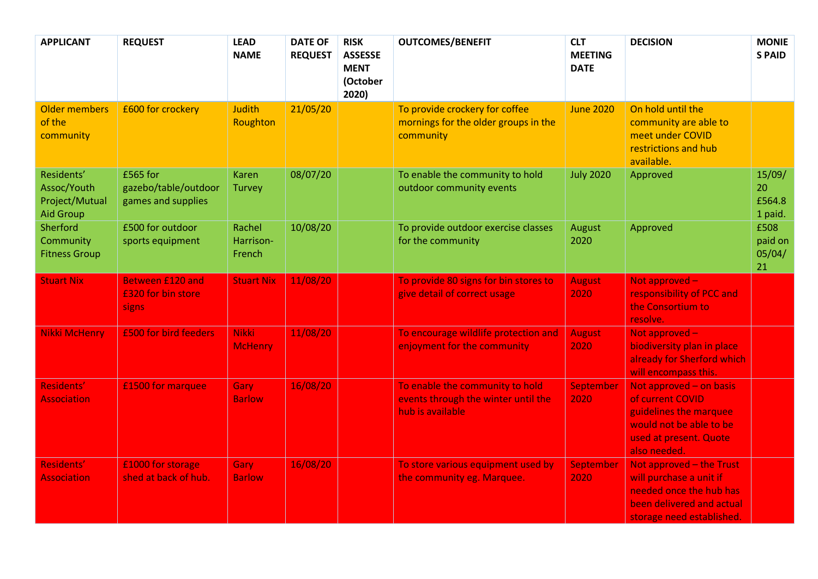| <b>APPLICANT</b>                                                | <b>REQUEST</b>                                                | <b>LEAD</b><br><b>NAME</b>     | <b>DATE OF</b><br><b>REQUEST</b> | <b>RISK</b><br><b>ASSESSE</b><br><b>MENT</b><br>(October<br>2020) | <b>OUTCOMES/BENEFIT</b>                                                                    | <b>CLT</b><br><b>MEETING</b><br><b>DATE</b> | <b>DECISION</b>                                                                                                                            | <b>MONIE</b><br><b>SPAID</b>      |
|-----------------------------------------------------------------|---------------------------------------------------------------|--------------------------------|----------------------------------|-------------------------------------------------------------------|--------------------------------------------------------------------------------------------|---------------------------------------------|--------------------------------------------------------------------------------------------------------------------------------------------|-----------------------------------|
| <b>Older members</b><br>of the<br>community                     | £600 for crockery                                             | <b>Judith</b><br>Roughton      | 21/05/20                         |                                                                   | To provide crockery for coffee<br>mornings for the older groups in the<br>community        | <b>June 2020</b>                            | On hold until the<br>community are able to<br>meet under COVID<br>restrictions and hub<br>available.                                       |                                   |
| Residents'<br>Assoc/Youth<br>Project/Mutual<br><b>Aid Group</b> | £565 for<br>gazebo/table/outdoor<br>games and supplies        | <b>Karen</b><br>Turvey         | 08/07/20                         |                                                                   | To enable the community to hold<br>outdoor community events                                | <b>July 2020</b>                            | Approved                                                                                                                                   | 15/09/<br>20<br>£564.8<br>1 paid. |
| Sherford<br>Community<br><b>Fitness Group</b>                   | £500 for outdoor<br>sports equipment                          | Rachel<br>Harrison-<br>French  | 10/08/20                         |                                                                   | To provide outdoor exercise classes<br>for the community                                   | August<br>2020                              | Approved                                                                                                                                   | £508<br>paid on<br>05/04/<br>21   |
| <b>Stuart Nix</b>                                               | <b>Between £120 and</b><br>£320 for bin store<br><b>signs</b> | <b>Stuart Nix</b>              | 11/08/20                         |                                                                   | To provide 80 signs for bin stores to<br>give detail of correct usage                      | <b>August</b><br>2020                       | Not approved -<br>responsibility of PCC and<br>the Consortium to<br>resolve.                                                               |                                   |
| <b>Nikki McHenry</b>                                            | £500 for bird feeders                                         | <b>Nikki</b><br><b>McHenry</b> | 11/08/20                         |                                                                   | To encourage wildlife protection and<br>enjoyment for the community                        | <b>August</b><br>2020                       | Not approved -<br>biodiversity plan in place<br>already for Sherford which<br>will encompass this.                                         |                                   |
| Residents'<br><b>Association</b>                                | £1500 for marquee                                             | Gary<br><b>Barlow</b>          | 16/08/20                         |                                                                   | To enable the community to hold<br>events through the winter until the<br>hub is available | September<br>2020                           | Not approved - on basis<br>of current COVID<br>guidelines the marquee<br>would not be able to be<br>used at present. Quote<br>also needed. |                                   |
| Residents'<br><b>Association</b>                                | £1000 for storage<br>shed at back of hub.                     | Gary<br><b>Barlow</b>          | 16/08/20                         |                                                                   | To store various equipment used by<br>the community eg. Marquee.                           | September<br>2020                           | Not approved - the Trust<br>will purchase a unit if<br>needed once the hub has<br>been delivered and actual<br>storage need established.   |                                   |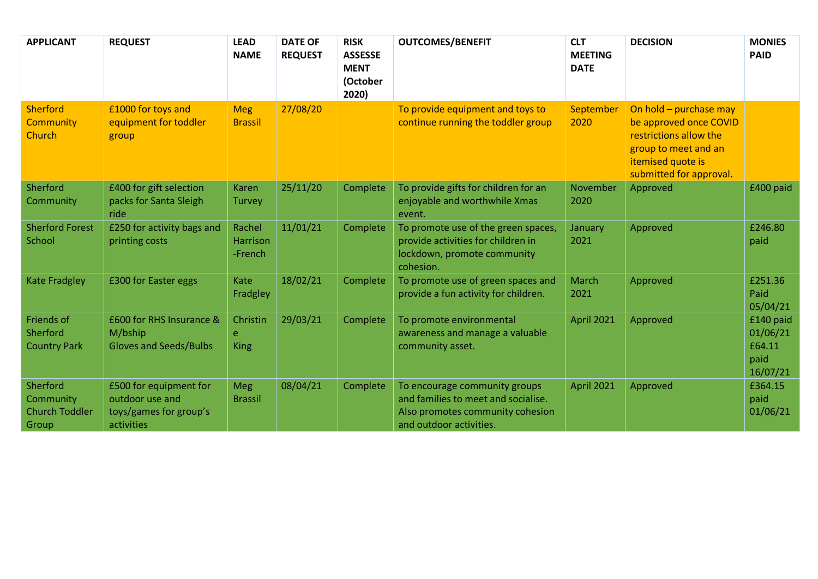| <b>APPLICANT</b>                                        | <b>REQUEST</b>                                                                    | <b>LEAD</b><br><b>NAME</b>    | <b>DATE OF</b><br><b>REQUEST</b> | <b>RISK</b><br><b>ASSESSE</b><br><b>MENT</b><br>(October<br>2020) | <b>OUTCOMES/BENEFIT</b>                                                                                                             | <b>CLT</b><br><b>MEETING</b><br><b>DATE</b> | <b>DECISION</b>                                                                                                                                    | <b>MONIES</b><br><b>PAID</b>                        |
|---------------------------------------------------------|-----------------------------------------------------------------------------------|-------------------------------|----------------------------------|-------------------------------------------------------------------|-------------------------------------------------------------------------------------------------------------------------------------|---------------------------------------------|----------------------------------------------------------------------------------------------------------------------------------------------------|-----------------------------------------------------|
| <b>Sherford</b><br><b>Community</b><br><b>Church</b>    | £1000 for toys and<br>equipment for toddler<br>group                              | <b>Meg</b><br><b>Brassil</b>  | 27/08/20                         |                                                                   | To provide equipment and toys to<br>continue running the toddler group                                                              | September<br>2020                           | On hold - purchase may<br>be approved once COVID<br>restrictions allow the<br>group to meet and an<br>itemised quote is<br>submitted for approval. |                                                     |
| Sherford<br>Community                                   | £400 for gift selection<br>packs for Santa Sleigh<br>ride                         | Karen<br>Turvey               | 25/11/20                         | Complete                                                          | To provide gifts for children for an<br>enjoyable and worthwhile Xmas<br>event.                                                     | November<br>2020                            | Approved                                                                                                                                           | £400 paid                                           |
| <b>Sherford Forest</b><br>School                        | £250 for activity bags and<br>printing costs                                      | Rachel<br>Harrison<br>-French | 11/01/21                         | Complete                                                          | To promote use of the green spaces,<br>provide activities for children in<br>lockdown, promote community<br>cohesion.               | January<br>2021                             | Approved                                                                                                                                           | £246.80<br>paid                                     |
| <b>Kate Fradgley</b>                                    | £300 for Easter eggs                                                              | Kate<br>Fradgley              | 18/02/21                         | Complete                                                          | To promote use of green spaces and<br>provide a fun activity for children.                                                          | March<br>2021                               | Approved                                                                                                                                           | £251.36<br>Paid<br>05/04/21                         |
| Friends of<br>Sherford<br><b>Country Park</b>           | £600 for RHS Insurance &<br>M/bship<br><b>Gloves and Seeds/Bulbs</b>              | Christin<br>e<br><b>King</b>  | 29/03/21                         | Complete                                                          | To promote environmental<br>awareness and manage a valuable<br>community asset.                                                     | <b>April 2021</b>                           | Approved                                                                                                                                           | £140 paid<br>01/06/21<br>£64.11<br>paid<br>16/07/21 |
| Sherford<br>Community<br><b>Church Toddler</b><br>Group | £500 for equipment for<br>outdoor use and<br>toys/games for group's<br>activities | <b>Meg</b><br><b>Brassil</b>  | 08/04/21                         | Complete                                                          | To encourage community groups<br>and families to meet and socialise.<br>Also promotes community cohesion<br>and outdoor activities. | April 2021                                  | Approved                                                                                                                                           | £364.15<br>paid<br>01/06/21                         |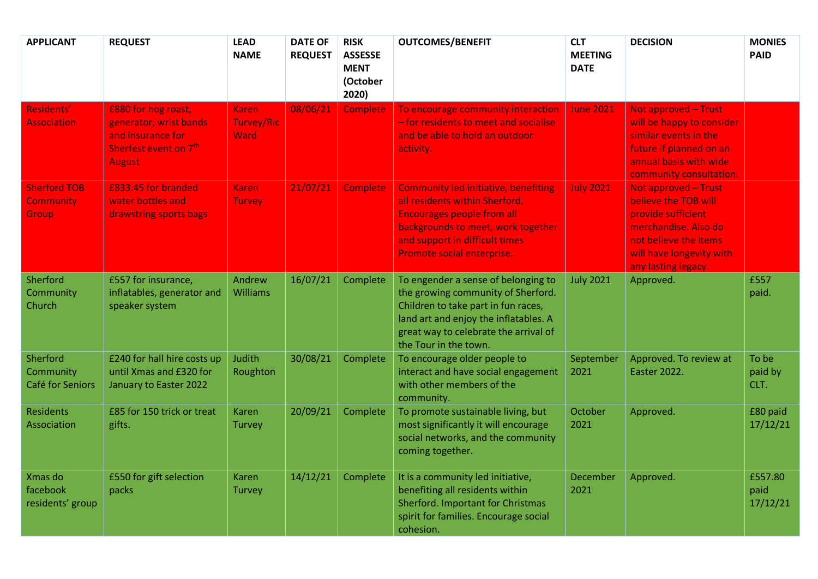| <b>APPLICANT</b>                                 | <b>REQUEST</b>                                                                                               | <b>LEAD</b><br><b>NAME</b>                | <b>DATE OF</b><br><b>REQUEST</b> | <b>RISK</b><br><b>ASSESSE</b><br><b>MENT</b><br>(October<br>2020) | <b>OUTCOMES/BENEFIT</b>                                                                                                                                                                                                     | <b>CLT</b><br><b>MEETING</b><br><b>DATE</b> | <b>DECISION</b>                                                                                                                                                               | <b>MONIES</b><br><b>PAID</b> |
|--------------------------------------------------|--------------------------------------------------------------------------------------------------------------|-------------------------------------------|----------------------------------|-------------------------------------------------------------------|-----------------------------------------------------------------------------------------------------------------------------------------------------------------------------------------------------------------------------|---------------------------------------------|-------------------------------------------------------------------------------------------------------------------------------------------------------------------------------|------------------------------|
| Residents'<br><b>Association</b>                 | £880 for hog roast,<br>generator, wrist bands<br>and insurance for<br>Sherfest event on 7th<br><b>August</b> | <b>Karen</b><br><b>Turvey/Ric</b><br>Ward | 08/06/21                         | Complete                                                          | To encourage community interaction<br>- for residents to meet and socialise<br>and be able to hold an outdoor<br>activity.                                                                                                  | <b>June 2021</b>                            | <b>Not approved - Trust</b><br>will be happy to consider<br>similar events in the<br>future if planned on an<br>annual basis with wide<br>community consultation.             |                              |
| <b>Sherford TOB</b><br><b>Community</b><br>Group | £833.45 for branded<br>water bottles and<br>drawstring sports bags                                           | <b>Karen</b><br><b>Turvey</b>             | 21/07/21                         | <b>Complete</b>                                                   | <b>Community led initiative, benefiting</b><br>all residents within Sherford.<br><b>Encourages people from all</b><br>backgrounds to meet, work together<br>and support in difficult times<br>Promote social enterprise.    | <b>July 2021</b>                            | <b>Not approved - Trust</b><br>believe the TOB will<br>provide sufficient<br>merchandise. Also do<br>not believe the items<br>will have longevity with<br>any lasting legacy. |                              |
| Sherford<br>Community<br>Church                  | £557 for insurance,<br>inflatables, generator and<br>speaker system                                          | Andrew<br><b>Williams</b>                 | 16/07/21                         | Complete                                                          | To engender a sense of belonging to<br>the growing community of Sherford.<br>Children to take part in fun races,<br>land art and enjoy the inflatables. A<br>great way to celebrate the arrival of<br>the Tour in the town. | <b>July 2021</b>                            | Approved.                                                                                                                                                                     | £557<br>paid.                |
| Sherford<br>Community<br>Café for Seniors        | £240 for hall hire costs up<br>until Xmas and £320 for<br>January to Easter 2022                             | Judith<br>Roughton                        | 30/08/21                         | Complete                                                          | To encourage older people to<br>interact and have social engagement<br>with other members of the<br>community.                                                                                                              | September<br>2021                           | Approved. To review at<br><b>Easter 2022.</b>                                                                                                                                 | To be<br>paid by<br>CLT.     |
| <b>Residents</b><br>Association                  | £85 for 150 trick or treat<br>gifts.                                                                         | <b>Karen</b><br><b>Turvey</b>             | 20/09/21                         | Complete                                                          | To promote sustainable living, but<br>most significantly it will encourage<br>social networks, and the community<br>coming together.                                                                                        | October<br>2021                             | Approved.                                                                                                                                                                     | £80 paid<br>17/12/21         |
| Xmas do<br>facebook<br>residents' group          | £550 for gift selection<br>packs                                                                             | <b>Karen</b><br>Turvey                    | 14/12/21                         | Complete                                                          | It is a community led initiative,<br>benefiting all residents within<br><b>Sherford. Important for Christmas</b><br>spirit for families. Encourage social<br>cohesion.                                                      | December<br>2021                            | Approved.                                                                                                                                                                     | £557.80<br>paid<br>17/12/21  |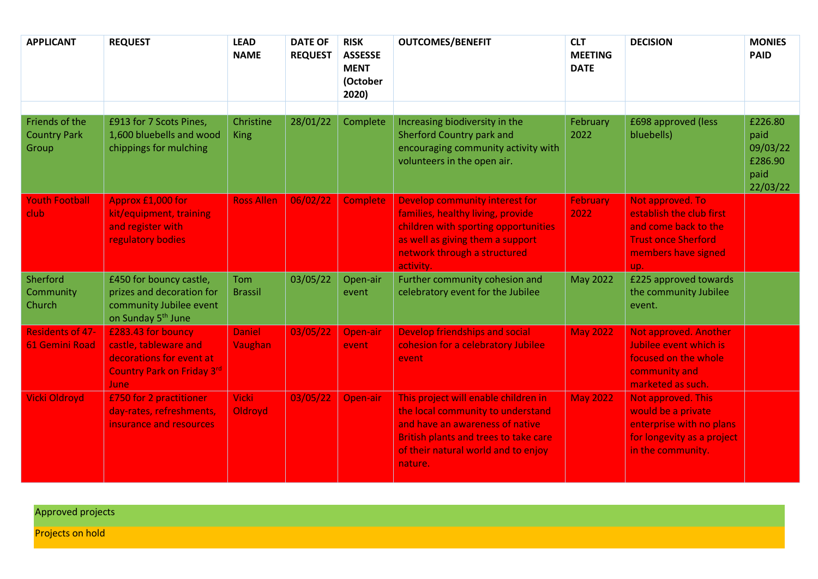| <b>APPLICANT</b>                                 | <b>REQUEST</b>                                                                                                       | <b>LEAD</b><br><b>NAME</b> | <b>DATE OF</b><br><b>REQUEST</b> | <b>RISK</b><br><b>ASSESSE</b><br><b>MENT</b><br>(October<br>2020) | <b>OUTCOMES/BENEFIT</b>                                                                                                                                                                                        | <b>CLT</b><br><b>MEETING</b><br><b>DATE</b> | <b>DECISION</b>                                                                                                                  | <b>MONIES</b><br><b>PAID</b>                               |
|--------------------------------------------------|----------------------------------------------------------------------------------------------------------------------|----------------------------|----------------------------------|-------------------------------------------------------------------|----------------------------------------------------------------------------------------------------------------------------------------------------------------------------------------------------------------|---------------------------------------------|----------------------------------------------------------------------------------------------------------------------------------|------------------------------------------------------------|
| Friends of the<br><b>Country Park</b><br>Group   | £913 for 7 Scots Pines,<br>1,600 bluebells and wood<br>chippings for mulching                                        | Christine<br><b>King</b>   | 28/01/22                         | Complete                                                          | Increasing biodiversity in the<br><b>Sherford Country park and</b><br>encouraging community activity with<br>volunteers in the open air.                                                                       | February<br>2022                            | £698 approved (less<br>bluebells)                                                                                                | £226.80<br>paid<br>09/03/22<br>£286.90<br>paid<br>22/03/22 |
| <b>Youth Football</b><br><b>club</b>             | Approx £1,000 for<br>kit/equipment, training<br>and register with<br>regulatory bodies                               | <b>Ross Allen</b>          | 06/02/22                         | <b>Complete</b>                                                   | Develop community interest for<br>families, healthy living, provide<br>children with sporting opportunities<br>as well as giving them a support<br>network through a structured<br>activity.                   | <b>February</b><br>2022                     | Not approved. To<br>establish the club first<br>and come back to the<br><b>Trust once Sherford</b><br>members have signed<br>up. |                                                            |
| Sherford<br>Community<br>Church                  | £450 for bouncy castle,<br>prizes and decoration for<br>community Jubilee event<br>on Sunday 5 <sup>th</sup> June    | Tom<br><b>Brassil</b>      | 03/05/22                         | Open-air<br>event                                                 | Further community cohesion and<br>celebratory event for the Jubilee                                                                                                                                            | <b>May 2022</b>                             | £225 approved towards<br>the community Jubilee<br>event.                                                                         |                                                            |
| <b>Residents of 47-</b><br><b>61 Gemini Road</b> | £283.43 for bouncy<br>castle, tableware and<br>decorations for event at<br>Country Park on Friday 3rd<br><b>June</b> | <b>Daniel</b><br>Vaughan   | 03/05/22                         | Open-air<br>event                                                 | Develop friendships and social<br>cohesion for a celebratory Jubilee<br>event                                                                                                                                  | <b>May 2022</b>                             | <b>Not approved. Another</b><br>Jubilee event which is<br>focused on the whole<br>community and<br>marketed as such.             |                                                            |
| Vicki Oldroyd                                    | £750 for 2 practitioner<br>day-rates, refreshments,<br>insurance and resources                                       | <b>Vicki</b><br>Oldroyd    | 03/05/22                         | Open-air                                                          | This project will enable children in<br>the local community to understand<br>and have an awareness of native<br><b>British plants and trees to take care</b><br>of their natural world and to enjoy<br>nature. | <b>May 2022</b>                             | Not approved. This<br>would be a private<br>enterprise with no plans<br>for longevity as a project<br>in the community.          |                                                            |

Approved projects

Projects on hold